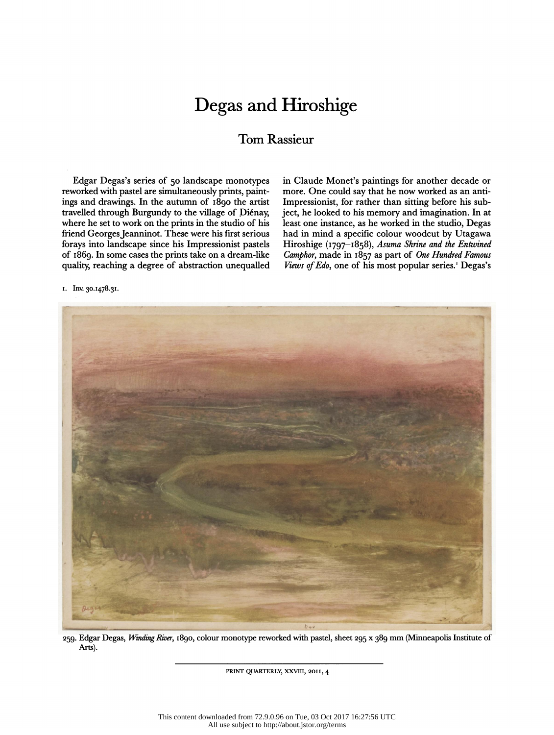## Degas and Hiroshige

## Tom Rassieur

 Edgar Degas's series of 50 landscape monotypes reworked with pastel are simultaneously prints, paint ings and drawings. In the autumn of 1890 the artist travelled through Burgundy to the village of Diénay, where he set to work on the prints in the studio of his friend Georges Jeanninot. These were his first serious forays into landscape since his Impressionist pastels of 1869. In some cases the prints take on a dream-like quality, reaching a degree of abstraction unequalled  in Claude Monet's paintings for another decade or more. One could say that he now worked as an anti- Impressionist, for rather than sitting before his sub ject, he looked to his memory and imagination. In at least one instance, as he worked in the studio, Degas had in mind a specific colour woodcut by Utagawa Hiroshige (1797-1858), Asuma Shrine and the Entwined Camphor, made in  $1857$  as part of One Hundred Famous Views of Edo, one of his most popular series.<sup>1</sup> Degas's

ι. Inv. 30.1478.31.



259. Edgar Degas, Winding River, 1890, colour monotype reworked with pastel, sheet 295 x 389 mm (Minneapolis Institute of Arts).

PRINT QUARTERLY, XXVIII, 20II, 4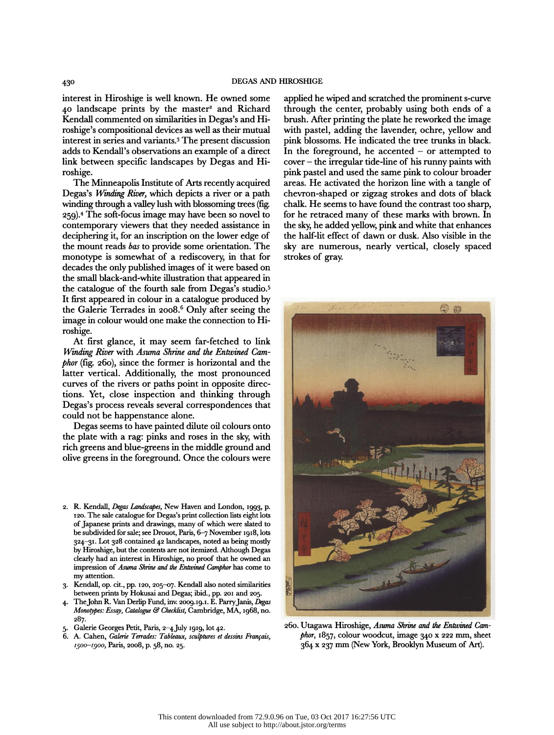interest in Hiroshige is well known. He owned some 40 landscape prints by the master<sup>2</sup> and Richard<br>Kendall commented on similarities in Degas's and Hi- $K$ endall commented on similarities in Degas's and Hi-<br>  $K$ -hi- $\frac{1}{2}$  brush. After printing the plate he reworked the image<br>  $\frac{1}{2}$  brush. After printing the plate he reworked the image richal commented on similarities in Euglas s'aite in the stash. Their printing the plate its reworked the integer<br>
trading the lavender, ochre, yellow and<br>
integrate in consistent in the state of the lavender, ochre, yello roshige's compositional devices as well as their mutual<br>interest in series and variants.<sup>3</sup> The present discussion<br>adds to Kendall's observations an example of a direct and the total is observations an example of a direct in the foreground, he accented - or attempted to<br>adds to Kendall's observations an example of a direct in the foreground, he accented - or attempted to adds to Kendan's observations an example of a direct the interference of his runny paints with<br>link between specific landscapes by Degas and Hi-cover - the irregular tide-line of his runny paints with roshige.

 The Minneapolis Institute of Arts recendy acquired Degas's Winding River, which depicts a river or a path winding through a valley lush with blossoming trees (fig. 259). 4 The soft-focus image may have been so novel to contemporary viewers that they needed assistance in deciphering it, for an inscription on the lower edge of the mount reads bas to provide some orientation. The monotype is somewhat of a rediscovery, in that for decades the only published images of it were based on the small black-and-white illustration that appeared in the catalogue of the fourth sale from Degas's studio.5 It first appeared in colour in a catalogue produced by the Galerie Terrades in 2008.<sup>6</sup> Only after seeing the image in colour would one make the connection to Hi roshige.

 At first glance, it may seem far-fetched to link Winding River with Asuma Shrine and the Entwined Cam phor (fig. 260), since the former is horizontal and the latter vertical. Additionally, the most pronounced curves of the rivers or paths point in opposite direc tions. Yet, close inspection and thinking through Degas's process reveals several correspondences that could not be happenstance alone.

 Degas seems to have painted dilute oil colours onto the plate with a rag: pinks and roses in the sky, with rich greens and blue-greens in the middle ground and olive greens in the foreground. Once the colours were

- 2. R. Kendall, Degas Landscapes, New Haven and London, 1993, p. 120. The sale catalogue for Degas's print collection lists eight lots of Japanese prints and drawings, many of which were slated to be subdivided for sale; see Drouot, Paris, 6-7 November 1918, lots 324-31. Lot 328 contained 42 landscapes, noted as being mostly by Hiroshige, but the contents are not itemized. Although Degas clearly had an interest in Hiroshige, no proof that he owned an impression of Asuma Shrine and the Entwined Camphor has come to my attention.
- 3. Kendall, op. cit., pp. 120, 205-07. Kendall also noted similarities between prints by Hokusai and Degas; ibid., pp. 201 and 205.
- 4. The John R. Van Derlip Fund, inv. 2009. 19. 1. E. Parry Janis, Degas Monotypes: Essay, Catalogue & Checklist, Cambridge, MA, 1968, no. 287.
- 5. Galerie Georges Petit, Paris,  $2-4$  July 1919, lot 42.<br>6. A. Caben, *Galerie Terrades: Tableaux, sculptures et a*
- 6. A. Cahen, Galerie Tenades: Tableaux, sculptures et dessins Français, 1500-1900, Paris, 2008, p. 58, no. 25.

 applied he wiped and scratched the prominent s-curve through the center, probably using both ends of a pink blossoms. He indicated the tree trunks in black. pink pastel and used the same pink to colour broader areas. He activated the horizon line with a tangle of chevron-shaped or zigzag strokes and dots of black chalk. He seems to have found the contrast too sharp, for he retraced many of these marks with brown. In the sky, he added yellow, pink and white that enhances the half-lit effect of dawn or dusk. Also visible in the sky are numerous, nearly vertical, closely spaced strokes of gray.



 260. Utagawa Hiroshige, Asuma Shrine and the Entwined Cam phor, 1857, colour woodcut, image 340 x 222 mm, sheet 364 χ 237 mm (New York, Brooklyn Museum of Art).